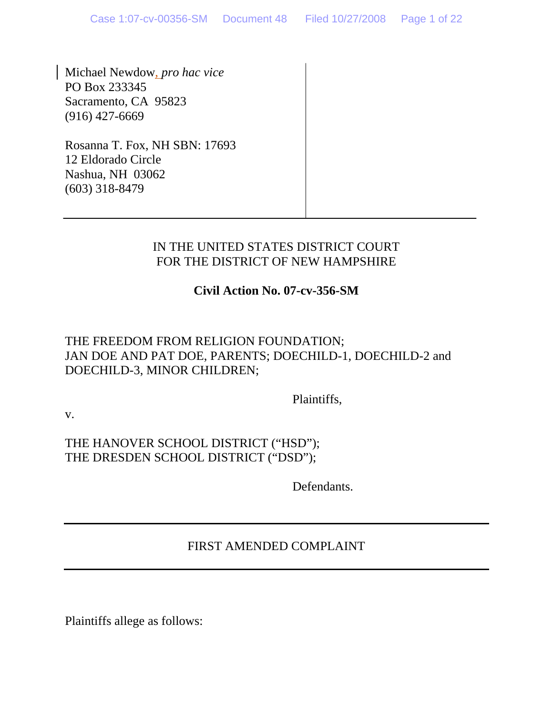Michael Newdow, *pro hac vice* PO Box 233345 Sacramento, CA 95823 (916) 427-6669

Rosanna T. Fox, NH SBN: 17693 12 Eldorado Circle Nashua, NH 03062 (603) 318-8479

#### IN THE UNITED STATES DISTRICT COURT FOR THE DISTRICT OF NEW HAMPSHIRE

## **Civil Action No. 07-cv-356-SM**

## THE FREEDOM FROM RELIGION FOUNDATION; JAN DOE AND PAT DOE, PARENTS; DOECHILD-1, DOECHILD-2 and DOECHILD-3, MINOR CHILDREN;

Plaintiffs,

v.

THE HANOVER SCHOOL DISTRICT ("HSD"); THE DRESDEN SCHOOL DISTRICT ("DSD");

Defendants.

# FIRST AMENDED COMPLAINT

Plaintiffs allege as follows: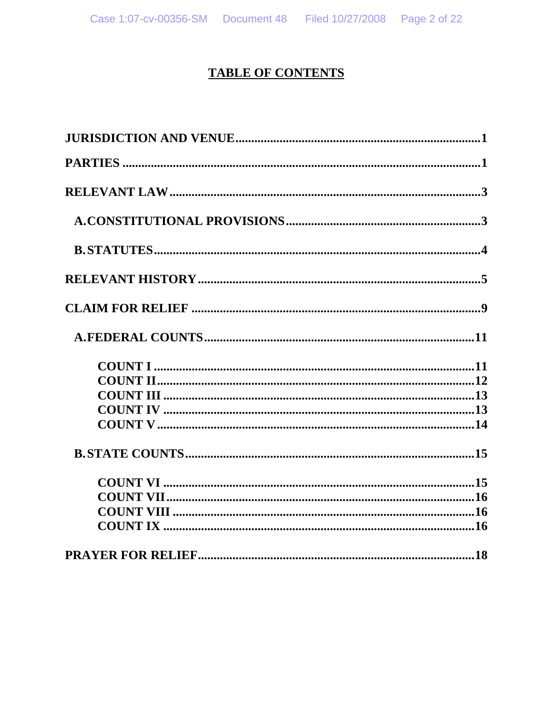# **TABLE OF CONTENTS**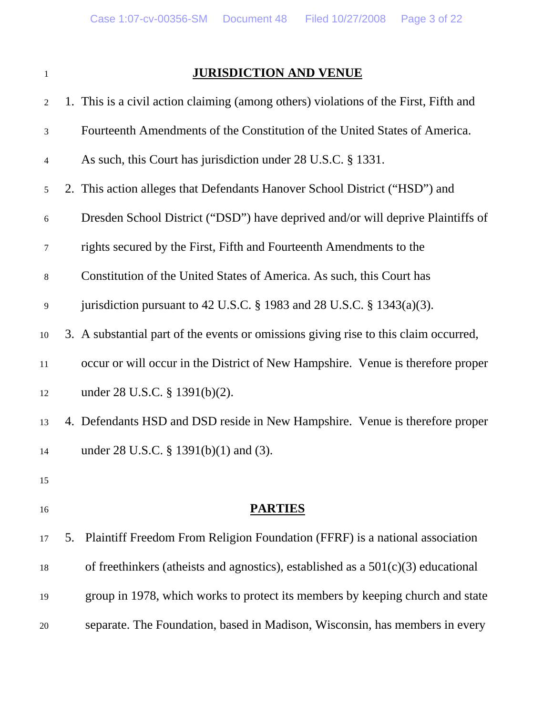# **JURISDICTION AND VENUE**

| 2      | 1. This is a civil action claiming (among others) violations of the First, Fifth and |
|--------|--------------------------------------------------------------------------------------|
| 3      | Fourteenth Amendments of the Constitution of the United States of America.           |
| 4      | As such, this Court has jurisdiction under 28 U.S.C. § 1331.                         |
| 5      | 2. This action alleges that Defendants Hanover School District ("HSD") and           |
| 6      | Dresden School District ("DSD") have deprived and/or will deprive Plaintiffs of      |
| 7      | rights secured by the First, Fifth and Fourteenth Amendments to the                  |
| $8\,$  | Constitution of the United States of America. As such, this Court has                |
| 9      | jurisdiction pursuant to 42 U.S.C. § 1983 and 28 U.S.C. § 1343(a)(3).                |
| $10\,$ | 3. A substantial part of the events or omissions giving rise to this claim occurred, |
| 11     | occur or will occur in the District of New Hampshire. Venue is therefore proper      |
| 12     | under $28$ U.S.C. $\S$ 1391(b)(2).                                                   |
| 13     | 4. Defendants HSD and DSD reside in New Hampshire. Venue is therefore proper         |
| 14     | under 28 U.S.C. § 1391(b)(1) and (3).                                                |
| 15     |                                                                                      |
| 16     | <b>PARTIES</b>                                                                       |
| 17     | Plaintiff Freedom From Religion Foundation (FFRF) is a national association<br>5.    |
| 18     | of freethinkers (atheists and agnostics), established as a $501(c)(3)$ educational   |
| 19     | group in 1978, which works to protect its members by keeping church and state        |
| 20     | separate. The Foundation, based in Madison, Wisconsin, has members in every          |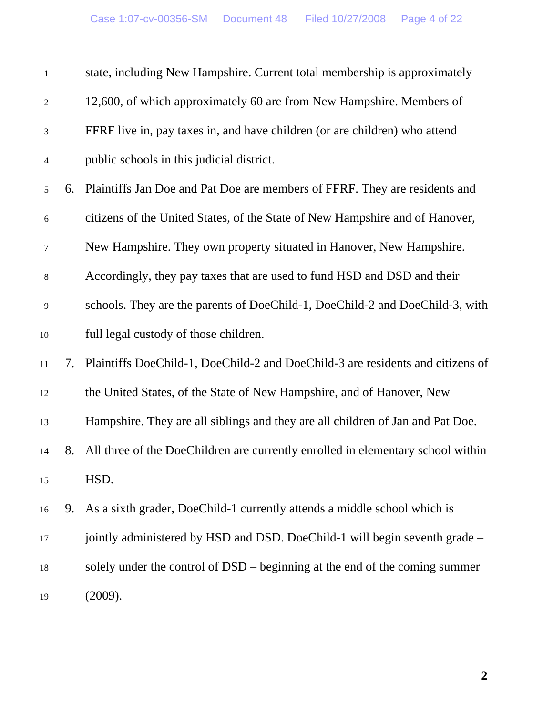| $\mathbf{1}$     |    | state, including New Hampshire. Current total membership is approximately         |
|------------------|----|-----------------------------------------------------------------------------------|
| $\boldsymbol{2}$ |    | 12,600, of which approximately 60 are from New Hampshire. Members of              |
| 3                |    | FFRF live in, pay taxes in, and have children (or are children) who attend        |
| 4                |    | public schools in this judicial district.                                         |
| 5                |    | 6. Plaintiffs Jan Doe and Pat Doe are members of FFRF. They are residents and     |
| 6                |    | citizens of the United States, of the State of New Hampshire and of Hanover,      |
| 7                |    | New Hampshire. They own property situated in Hanover, New Hampshire.              |
| 8                |    | Accordingly, they pay taxes that are used to fund HSD and DSD and their           |
| 9                |    | schools. They are the parents of DoeChild-1, DoeChild-2 and DoeChild-3, with      |
| $10\,$           |    | full legal custody of those children.                                             |
| 11               |    | 7. Plaintiffs DoeChild-1, DoeChild-2 and DoeChild-3 are residents and citizens of |
| 12               |    | the United States, of the State of New Hampshire, and of Hanover, New             |
| 13               |    | Hampshire. They are all siblings and they are all children of Jan and Pat Doe.    |
| 14               | 8. | All three of the DoeChildren are currently enrolled in elementary school within   |
| 15               |    | HSD.                                                                              |
| 16               |    | 9. As a sixth grader, DoeChild-1 currently attends a middle school which is       |
| 17               |    | jointly administered by HSD and DSD. DoeChild-1 will begin seventh grade –        |
| 18               |    | solely under the control of DSD – beginning at the end of the coming summer       |
| 19               |    | (2009).                                                                           |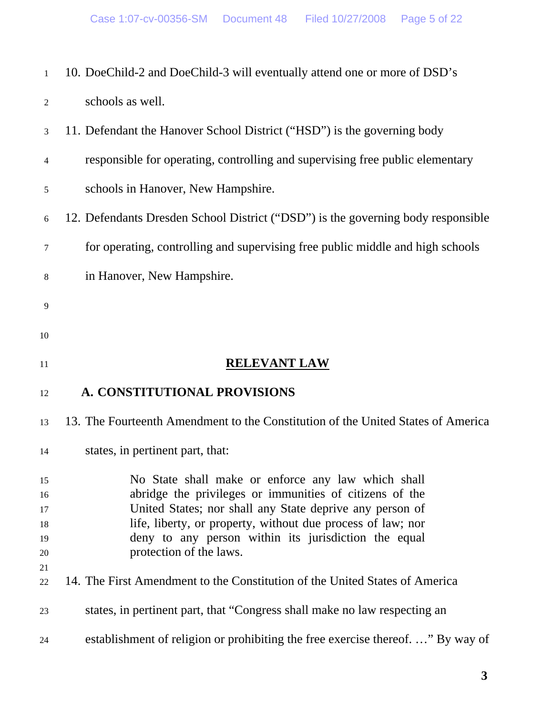| $\mathbf{1}$ | 10. DoeChild-2 and DoeChild-3 will eventually attend one or more of DSD's        |
|--------------|----------------------------------------------------------------------------------|
| 2            | schools as well.                                                                 |
| 3            | 11. Defendant the Hanover School District ("HSD") is the governing body          |
| 4            | responsible for operating, controlling and supervising free public elementary    |
| 5            | schools in Hanover, New Hampshire.                                               |
| 6            | 12. Defendants Dresden School District ("DSD") is the governing body responsible |
| 7            | for operating, controlling and supervising free public middle and high schools   |
| 8            | in Hanover, New Hampshire.                                                       |
| 9            |                                                                                  |
| 10           |                                                                                  |
| 11           | <b>RELEVANT LAW</b>                                                              |
| 12           | A. CONSTITUTIONAL PROVISIONS                                                     |
|              |                                                                                  |
| 13           | 13. The Fourteenth Amendment to the Constitution of the United States of America |
| 14           | states, in pertinent part, that:                                                 |
| 15           | No State shall make or enforce any law which shall                               |
| 16           | abridge the privileges or immunities of citizens of the                          |
| 17           | United States; nor shall any State deprive any person of                         |
| 18           | life, liberty, or property, without due process of law; nor                      |
| 19           | deny to any person within its jurisdiction the equal                             |
| 20           | protection of the laws.                                                          |
| 21<br>22     | 14. The First Amendment to the Constitution of the United States of America      |
| 23           | states, in pertinent part, that "Congress shall make no law respecting an        |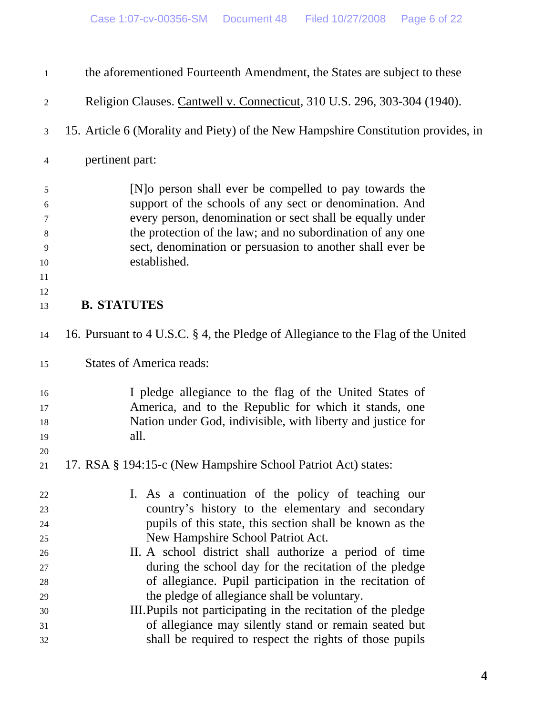| 1              | the aforementioned Fourteenth Amendment, the States are subject to these          |
|----------------|-----------------------------------------------------------------------------------|
| $\overline{2}$ | Religion Clauses. Cantwell v. Connecticut, 310 U.S. 296, 303-304 (1940).          |
| 3              | 15. Article 6 (Morality and Piety) of the New Hampshire Constitution provides, in |
| $\overline{4}$ | pertinent part:                                                                   |
| $\sqrt{5}$     | [N] o person shall ever be compelled to pay towards the                           |
| 6              | support of the schools of any sect or denomination. And                           |
| 7              | every person, denomination or sect shall be equally under                         |
| 8              | the protection of the law; and no subordination of any one                        |
| $\overline{9}$ | sect, denomination or persuasion to another shall ever be                         |
| 10             | established.                                                                      |
| 11             |                                                                                   |
| 12             |                                                                                   |
| 13             | <b>B. STATUTES</b>                                                                |
| 14             | 16. Pursuant to 4 U.S.C. § 4, the Pledge of Allegiance to the Flag of the United  |
| 15             | <b>States of America reads:</b>                                                   |
| 16             | I pledge allegiance to the flag of the United States of                           |
| 17             | America, and to the Republic for which it stands, one                             |
| 18             | Nation under God, indivisible, with liberty and justice for                       |
| 19             | all.                                                                              |
| 20             |                                                                                   |
| 21             | 17. RSA § 194:15-c (New Hampshire School Patriot Act) states:                     |
| 22             | I. As a continuation of the policy of teaching our                                |
| 23             | country's history to the elementary and secondary                                 |
| 24             | pupils of this state, this section shall be known as the                          |
| 25             | New Hampshire School Patriot Act.                                                 |
| 26             | II. A school district shall authorize a period of time                            |
| 27             | during the school day for the recitation of the pledge                            |
| 28             | of allegiance. Pupil participation in the recitation of                           |
| 29             | the pledge of allegiance shall be voluntary.                                      |
| 30             | III. Pupils not participating in the recitation of the pledge                     |
| 31             | of allegiance may silently stand or remain seated but                             |
| 32             | shall be required to respect the rights of those pupils                           |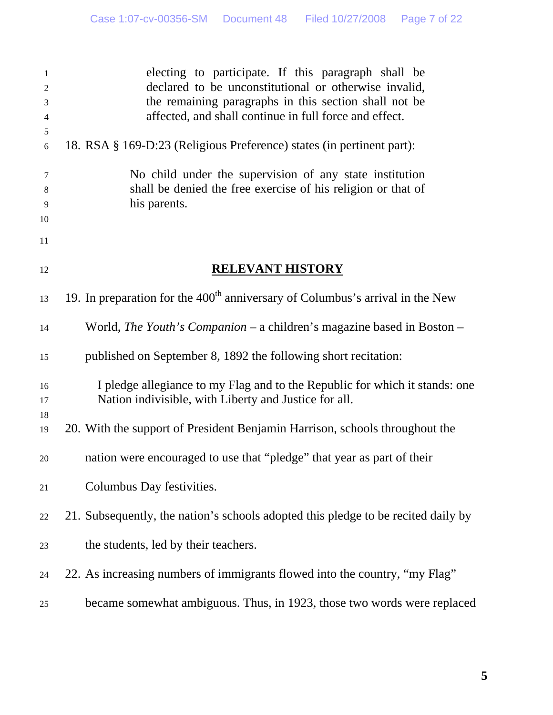| 1<br>$\mathfrak{2}$<br>3<br>$\overline{4}$ | electing to participate. If this paragraph shall be<br>declared to be unconstitutional or otherwise invalid,<br>the remaining paragraphs in this section shall not be<br>affected, and shall continue in full force and effect. |
|--------------------------------------------|---------------------------------------------------------------------------------------------------------------------------------------------------------------------------------------------------------------------------------|
| $\mathfrak s$<br>6                         | 18. RSA § 169-D:23 (Religious Preference) states (in pertinent part):                                                                                                                                                           |
| 7<br>8<br>9<br>10                          | No child under the supervision of any state institution<br>shall be denied the free exercise of his religion or that of<br>his parents.                                                                                         |
| 11                                         |                                                                                                                                                                                                                                 |
| 12                                         | <b>RELEVANT HISTORY</b>                                                                                                                                                                                                         |
| 13                                         | 19. In preparation for the $400th$ anniversary of Columbus's arrival in the New                                                                                                                                                 |
| 14                                         | World, The Youth's Companion - a children's magazine based in Boston -                                                                                                                                                          |
| 15                                         | published on September 8, 1892 the following short recitation:                                                                                                                                                                  |
| 16<br>17                                   | I pledge allegiance to my Flag and to the Republic for which it stands: one<br>Nation indivisible, with Liberty and Justice for all.                                                                                            |
| 18<br>19                                   | 20. With the support of President Benjamin Harrison, schools throughout the                                                                                                                                                     |
| 20                                         | nation were encouraged to use that "pledge" that year as part of their                                                                                                                                                          |
| 21                                         | Columbus Day festivities.                                                                                                                                                                                                       |
| $22\,$                                     | 21. Subsequently, the nation's schools adopted this pledge to be recited daily by                                                                                                                                               |
| 23                                         | the students, led by their teachers.                                                                                                                                                                                            |
| 24                                         | 22. As increasing numbers of immigrants flowed into the country, "my Flag"                                                                                                                                                      |
| $25\,$                                     | became somewhat ambiguous. Thus, in 1923, those two words were replaced                                                                                                                                                         |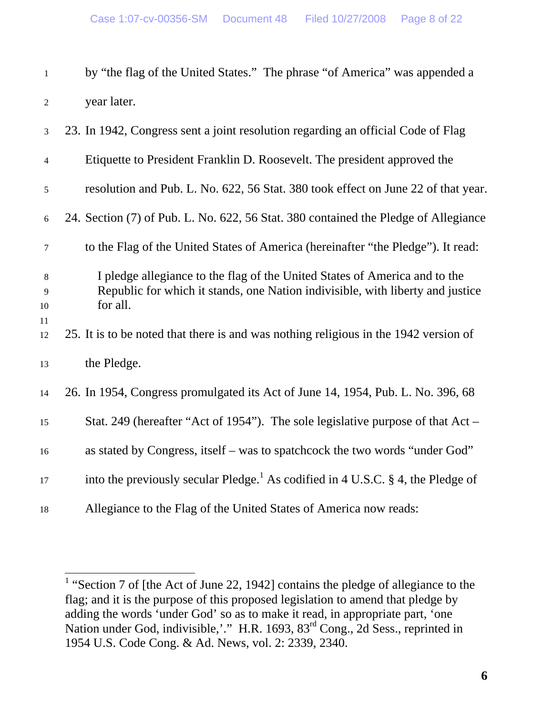|   | by "the flag of the United States." The phrase "of America" was appended a |  |  |
|---|----------------------------------------------------------------------------|--|--|
| 2 | year later.                                                                |  |  |

| 3                         | 23. In 1942, Congress sent a joint resolution regarding an official Code of Flag                                                                                         |
|---------------------------|--------------------------------------------------------------------------------------------------------------------------------------------------------------------------|
| $\overline{4}$            | Etiquette to President Franklin D. Roosevelt. The president approved the                                                                                                 |
| 5                         | resolution and Pub. L. No. 622, 56 Stat. 380 took effect on June 22 of that year.                                                                                        |
| 6                         | 24. Section (7) of Pub. L. No. 622, 56 Stat. 380 contained the Pledge of Allegiance                                                                                      |
| $\boldsymbol{7}$          | to the Flag of the United States of America (hereinafter "the Pledge"). It read:                                                                                         |
| 8<br>$\overline{9}$<br>10 | I pledge allegiance to the flag of the United States of America and to the<br>Republic for which it stands, one Nation indivisible, with liberty and justice<br>for all. |
| 11<br>12                  | 25. It is to be noted that there is and was nothing religious in the 1942 version of                                                                                     |
| 13                        | the Pledge.                                                                                                                                                              |
| 14                        | 26. In 1954, Congress promulgated its Act of June 14, 1954, Pub. L. No. 396, 68                                                                                          |
| 15                        | Stat. 249 (hereafter "Act of 1954"). The sole legislative purpose of that $Act -$                                                                                        |
| 16                        | as stated by Congress, itself – was to spatchcock the two words "under God"                                                                                              |
| 17                        | into the previously secular Pledge. <sup>1</sup> As codified in 4 U.S.C. § 4, the Pledge of                                                                              |
| 18                        | Allegiance to the Flag of the United States of America now reads:                                                                                                        |

<sup>&</sup>lt;sup>1</sup> "Section 7 of [the Act of June 22, 1942] contains the pledge of allegiance to the flag; and it is the purpose of this proposed legislation to amend that pledge by adding the words 'under God' so as to make it read, in appropriate part, 'one Nation under God, indivisible,'." H.R. 1693, 83<sup>rd</sup> Cong., 2d Sess., reprinted in 1954 U.S. Code Cong. & Ad. News, vol. 2: 2339, 2340.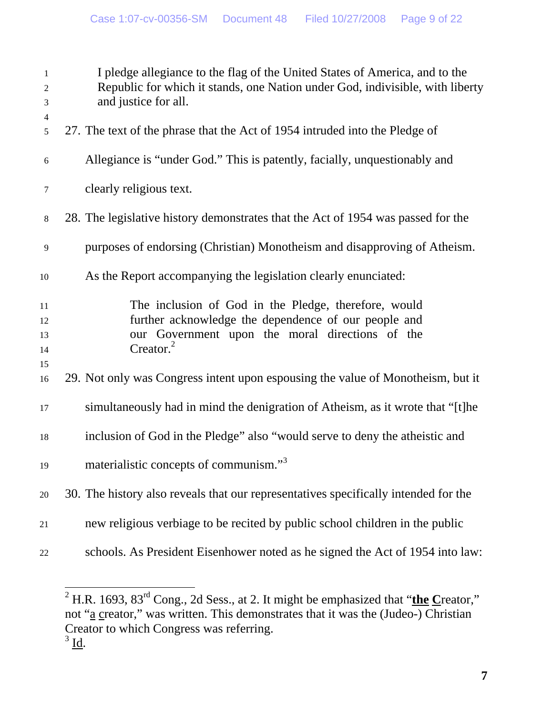| $\mathbf{1}$<br>$\overline{c}$<br>$\mathfrak{Z}$<br>$\overline{4}$ | I pledge allegiance to the flag of the United States of America, and to the<br>Republic for which it stands, one Nation under God, indivisible, with liberty<br>and justice for all.     |
|--------------------------------------------------------------------|------------------------------------------------------------------------------------------------------------------------------------------------------------------------------------------|
| 5                                                                  | 27. The text of the phrase that the Act of 1954 intruded into the Pledge of                                                                                                              |
| 6                                                                  | Allegiance is "under God." This is patently, facially, unquestionably and                                                                                                                |
| 7                                                                  | clearly religious text.                                                                                                                                                                  |
| $\,8\,$                                                            | 28. The legislative history demonstrates that the Act of 1954 was passed for the                                                                                                         |
| $\overline{9}$                                                     | purposes of endorsing (Christian) Monotheism and disapproving of Atheism.                                                                                                                |
| 10                                                                 | As the Report accompanying the legislation clearly enunciated:                                                                                                                           |
| 11<br>12<br>13<br>14<br>15                                         | The inclusion of God in the Pledge, therefore, would<br>further acknowledge the dependence of our people and<br>our Government upon the moral directions of the<br>Creator. <sup>2</sup> |
| 16                                                                 | 29. Not only was Congress intent upon espousing the value of Monotheism, but it                                                                                                          |
| 17                                                                 | simultaneously had in mind the denigration of Atheism, as it wrote that "[t]he                                                                                                           |
| 18                                                                 | inclusion of God in the Pledge" also "would serve to deny the atheistic and                                                                                                              |
| 19                                                                 | materialistic concepts of communism." <sup>3</sup>                                                                                                                                       |
| 20                                                                 | 30. The history also reveals that our representatives specifically intended for the                                                                                                      |
| 21                                                                 | new religious verbiage to be recited by public school children in the public                                                                                                             |
| 22                                                                 | schools. As President Eisenhower noted as he signed the Act of 1954 into law:                                                                                                            |

 $\overline{\phantom{a}}$ <sup>2</sup> H.R. 1693, 83<sup>rd</sup> Cong., 2d Sess., at 2. It might be emphasized that "**the C**reator," not "a creator," was written. This demonstrates that it was the (Judeo-) Christian Creator to which Congress was referring.  $3 \underline{\mathsf{Id}}$ .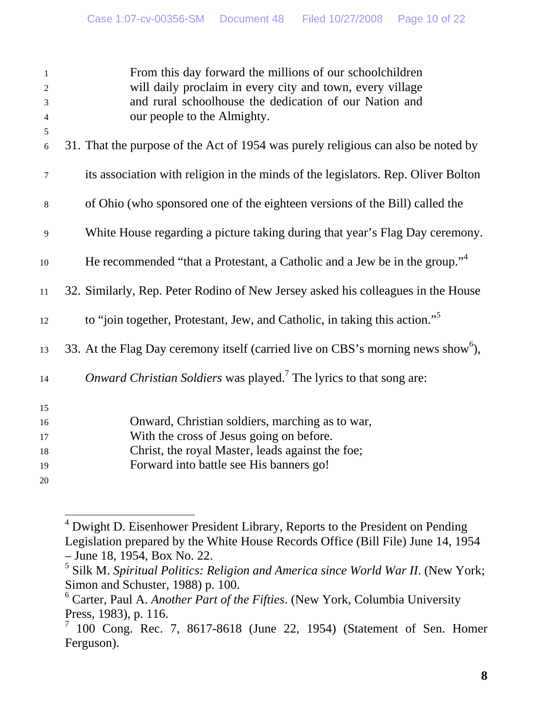| $\mathbf{1}$<br>$\overline{2}$ | From this day forward the millions of our schoolchildren<br>will daily proclaim in every city and town, every village |
|--------------------------------|-----------------------------------------------------------------------------------------------------------------------|
| $\mathfrak{Z}$                 | and rural schoolhouse the dedication of our Nation and                                                                |
| $\overline{4}$                 | our people to the Almighty.                                                                                           |
| 5                              |                                                                                                                       |
| 6                              | 31. That the purpose of the Act of 1954 was purely religious can also be noted by                                     |
| $\tau$                         | its association with religion in the minds of the legislators. Rep. Oliver Bolton                                     |
| $\,8\,$                        | of Ohio (who sponsored one of the eighteen versions of the Bill) called the                                           |
| 9                              | White House regarding a picture taking during that year's Flag Day ceremony.                                          |
| 10                             | He recommended "that a Protestant, a Catholic and a Jew be in the group." <sup>4</sup>                                |
| 11                             | 32. Similarly, Rep. Peter Rodino of New Jersey asked his colleagues in the House                                      |
| 12                             | to "join together, Protestant, Jew, and Catholic, in taking this action." <sup>5</sup>                                |
| 13                             | 33. At the Flag Day ceremony itself (carried live on CBS's morning news show <sup>6</sup> ),                          |
| 14                             | Onward Christian Soldiers was played. <sup>7</sup> The lyrics to that song are:                                       |
| 15                             |                                                                                                                       |
| 16                             | Onward, Christian soldiers, marching as to war,                                                                       |
| 17                             | With the cross of Jesus going on before.                                                                              |
| 18                             | Christ, the royal Master, leads against the foe;                                                                      |
| 19                             | Forward into battle see His banners go!                                                                               |
| 20                             |                                                                                                                       |

<sup>&</sup>lt;sup>4</sup> Dwight D. Eisenhower President Library, Reports to the President on Pending Legislation prepared by the White House Records Office (Bill File) June 14, 1954 – June 18, 1954, Box No. 22.

 $\overline{a}$ 

<sup>&</sup>lt;sup>5</sup> Silk M. *Spiritual Politics: Religion and America since World War II*. (New York; Simon and Schuster, 1988) p. 100.

<sup>6</sup> Carter, Paul A. *Another Part of the Fifties*. (New York, Columbia University Press, 1983), p. 116.

<sup>7</sup> 100 Cong. Rec. 7, 8617-8618 (June 22, 1954) (Statement of Sen. Homer Ferguson).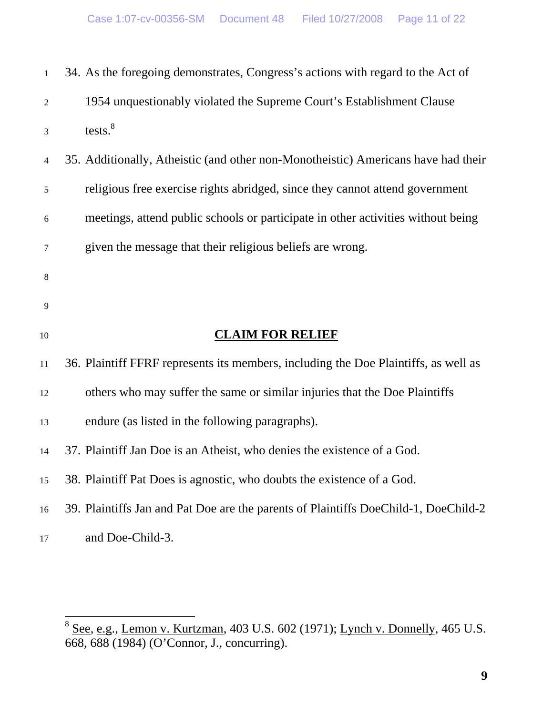| $\mathbf{1}$   | 34. As the foregoing demonstrates, Congress's actions with regard to the Act of     |
|----------------|-------------------------------------------------------------------------------------|
| $\overline{c}$ | 1954 unquestionably violated the Supreme Court's Establishment Clause               |
| 3              | tests. <sup>8</sup>                                                                 |
| 4              | 35. Additionally, Atheistic (and other non-Monotheistic) Americans have had their   |
| 5              | religious free exercise rights abridged, since they cannot attend government        |
| 6              | meetings, attend public schools or participate in other activities without being    |
| 7              | given the message that their religious beliefs are wrong.                           |
| 8              |                                                                                     |
| 9              |                                                                                     |
| 10             | <b>CLAIM FOR RELIEF</b>                                                             |
| 11             | 36. Plaintiff FFRF represents its members, including the Doe Plaintiffs, as well as |
| 12             | others who may suffer the same or similar injuries that the Doe Plaintiffs          |
| 13             | endure (as listed in the following paragraphs).                                     |
| 14             | 37. Plaintiff Jan Doe is an Atheist, who denies the existence of a God.             |
| 15             | 38. Plaintiff Pat Does is agnostic, who doubts the existence of a God.              |
| 16             | 39. Plaintiffs Jan and Pat Doe are the parents of Plaintiffs DoeChild-1, DoeChild-2 |
| 17             | and Doe-Child-3.                                                                    |

 $8$  See, e.g., Lemon v. Kurtzman, 403 U.S. 602 (1971); Lynch v. Donnelly, 465 U.S. 668, 688 (1984) (O'Connor, J., concurring).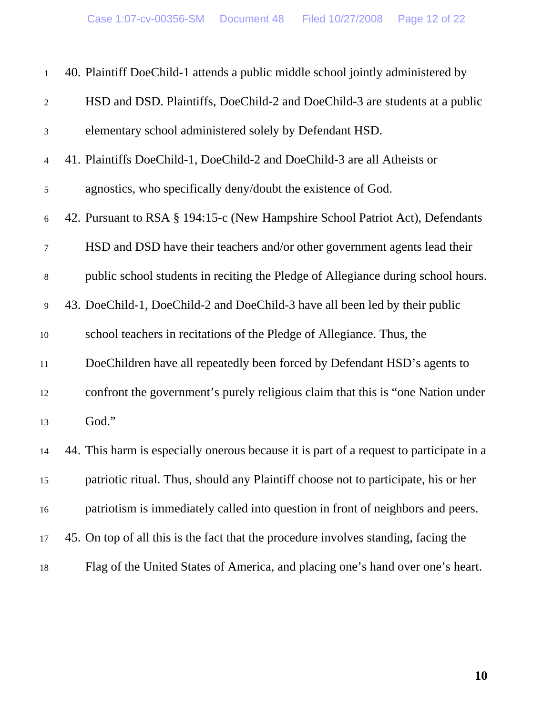| $1\,$            | 40. Plaintiff DoeChild-1 attends a public middle school jointly administered by         |
|------------------|-----------------------------------------------------------------------------------------|
| $\sqrt{2}$       | HSD and DSD. Plaintiffs, DoeChild-2 and DoeChild-3 are students at a public             |
| $\mathfrak{Z}$   | elementary school administered solely by Defendant HSD.                                 |
| $\overline{4}$   | 41. Plaintiffs DoeChild-1, DoeChild-2 and DoeChild-3 are all Atheists or                |
| $\sqrt{5}$       | agnostics, who specifically deny/doubt the existence of God.                            |
| $\sqrt{6}$       | 42. Pursuant to RSA § 194:15-c (New Hampshire School Patriot Act), Defendants           |
| $\boldsymbol{7}$ | HSD and DSD have their teachers and/or other government agents lead their               |
| $\,8\,$          | public school students in reciting the Pledge of Allegiance during school hours.        |
| $\overline{9}$   | 43. DoeChild-1, DoeChild-2 and DoeChild-3 have all been led by their public             |
| 10               | school teachers in recitations of the Pledge of Allegiance. Thus, the                   |
| 11               | DoeChildren have all repeatedly been forced by Defendant HSD's agents to                |
| 12               | confront the government's purely religious claim that this is "one Nation under         |
| 13               | God."                                                                                   |
| 14               | 44. This harm is especially onerous because it is part of a request to participate in a |
| 15               | patriotic ritual. Thus, should any Plaintiff choose not to participate, his or her      |
| 16               | patriotism is immediately called into question in front of neighbors and peers.         |
| 17               | 45. On top of all this is the fact that the procedure involves standing, facing the     |
| 18               | Flag of the United States of America, and placing one's hand over one's heart.          |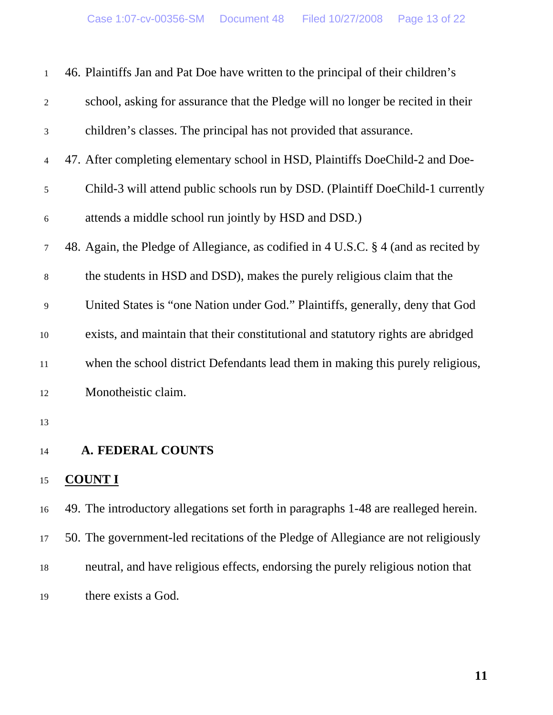| $\mathbf{1}$     | 46. Plaintiffs Jan and Pat Doe have written to the principal of their children's    |
|------------------|-------------------------------------------------------------------------------------|
| $\boldsymbol{2}$ | school, asking for assurance that the Pledge will no longer be recited in their     |
| 3                | children's classes. The principal has not provided that assurance.                  |
| $\overline{4}$   | 47. After completing elementary school in HSD, Plaintiffs DoeChild-2 and Doe-       |
| 5                | Child-3 will attend public schools run by DSD. (Plaintiff DoeChild-1 currently      |
| $6\,$            | attends a middle school run jointly by HSD and DSD.)                                |
| 7                | 48. Again, the Pledge of Allegiance, as codified in 4 U.S.C. § 4 (and as recited by |
| $8\,$            | the students in HSD and DSD), makes the purely religious claim that the             |
| 9                | United States is "one Nation under God." Plaintiffs, generally, deny that God       |
| $10\,$           | exists, and maintain that their constitutional and statutory rights are abridged    |
| $11\,$           | when the school district Defendants lead them in making this purely religious,      |
| 12               | Monotheistic claim.                                                                 |
| 13               |                                                                                     |
| 14               | <b>A. FEDERAL COUNTS</b>                                                            |
| 15               | <b>COUNT I</b>                                                                      |
| 16               | 49. The introductory allegations set forth in paragraphs 1-48 are realleged herein. |
| 17               | 50. The government-led recitations of the Pledge of Allegiance are not religiously  |
| 18               | neutral, and have religious effects, endorsing the purely religious notion that     |
| 19               | there exists a God.                                                                 |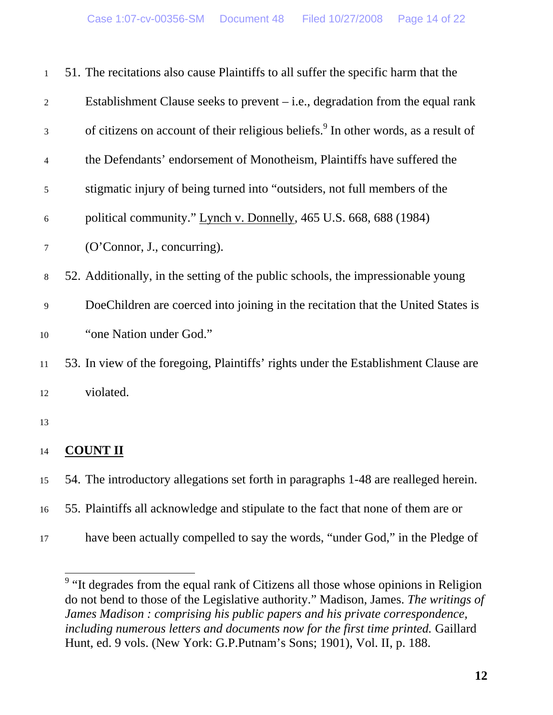| $\mathbf{1}$ | 51. The recitations also cause Plaintiffs to all suffer the specific harm that the             |
|--------------|------------------------------------------------------------------------------------------------|
| $\mathbf{2}$ | Establishment Clause seeks to prevent $-$ i.e., degradation from the equal rank                |
| 3            | of citizens on account of their religious beliefs. <sup>9</sup> In other words, as a result of |
| 4            | the Defendants' endorsement of Monotheism, Plaintiffs have suffered the                        |
| 5            | stigmatic injury of being turned into "outsiders, not full members of the                      |
| 6            | political community." Lynch v. Donnelly, 465 U.S. 668, 688 (1984)                              |
| $\tau$       | (O'Connor, J., concurring).                                                                    |
| $8\,$        | 52. Additionally, in the setting of the public schools, the impressionable young               |
| 9            | DoeChildren are coerced into joining in the recitation that the United States is               |
| $10\,$       | "one Nation under God."                                                                        |
| 11           | 53. In view of the foregoing, Plaintiffs' rights under the Establishment Clause are            |
| 12           | violated.                                                                                      |
| 13           |                                                                                                |
| 14           | <b>COUNT II</b>                                                                                |
| 15           | 54. The introductory allegations set forth in paragraphs 1-48 are realleged herein.            |
| 16           | 55. Plaintiffs all acknowledge and stipulate to the fact that none of them are or              |
| 17           | have been actually compelled to say the words, "under God," in the Pledge of                   |

<sup>&</sup>lt;sup>9</sup> "It degrades from the equal rank of Citizens all those whose opinions in Religion do not bend to those of the Legislative authority." Madison, James. *The writings of James Madison : comprising his public papers and his private correspondence, including numerous letters and documents now for the first time printed.* Gaillard Hunt, ed. 9 vols. (New York: G.P.Putnam's Sons; 1901), Vol. II, p. 188.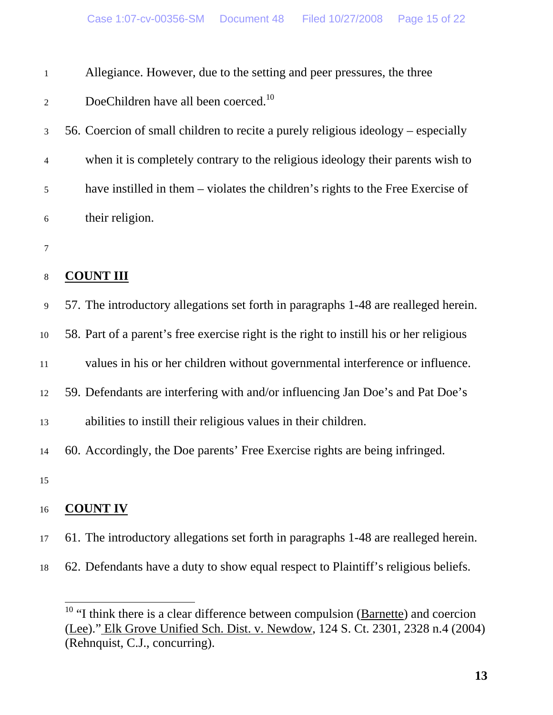| Allegiance. However, due to the setting and peer pressures, the three |  |  |  |
|-----------------------------------------------------------------------|--|--|--|
|                                                                       |  |  |  |

# 2 DoeChildren have all been coerced.<sup>10</sup>

3 56. Coercion of small children to recite a purely religious ideology – especially 4 when it is completely contrary to the religious ideology their parents wish to 5 have instilled in them – violates the children's rights to the Free Exercise of 6 their religion.

7

# 8 **COUNT III**

9 57. The introductory allegations set forth in paragraphs 1-48 are realleged herein.

10 58. Part of a parent's free exercise right is the right to instill his or her religious

11 values in his or her children without governmental interference or influence.

12 59. Defendants are interfering with and/or influencing Jan Doe's and Pat Doe's

13 abilities to instill their religious values in their children.

14 60. Accordingly, the Doe parents' Free Exercise rights are being infringed.

15

# 16 **COUNT IV**

- 17 61. The introductory allegations set forth in paragraphs 1-48 are realleged herein.
- 18 62. Defendants have a duty to show equal respect to Plaintiff's religious beliefs.

<sup>&</sup>lt;sup>10</sup> "I think there is a clear difference between compulsion ( $\overline{Barnette}$ ) and coercion (Lee)." Elk Grove Unified Sch. Dist. v. Newdow, 124 S. Ct. 2301, 2328 n.4 (2004) (Rehnquist, C.J., concurring).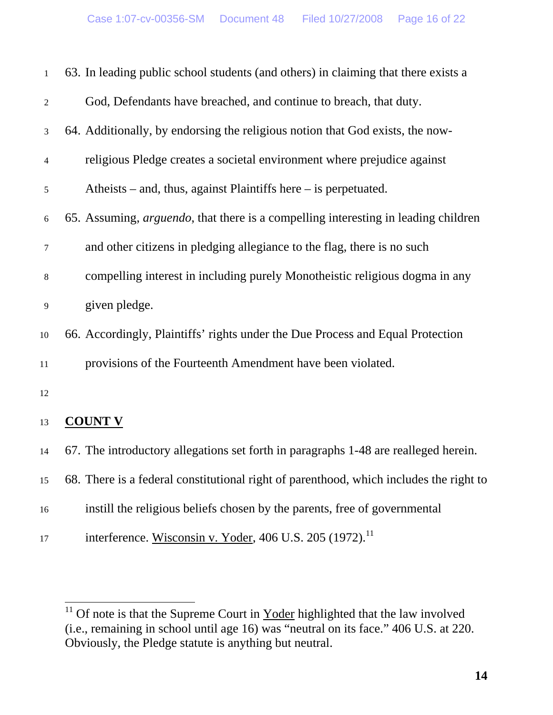| $\mathbf{1}$   | 63. In leading public school students (and others) in claiming that there exists a         |
|----------------|--------------------------------------------------------------------------------------------|
| $\overline{2}$ | God, Defendants have breached, and continue to breach, that duty.                          |
| 3              | 64. Additionally, by endorsing the religious notion that God exists, the now-              |
| 4              | religious Pledge creates a societal environment where prejudice against                    |
| 5              | Atheists – and, thus, against Plaintiffs here – is perpetuated.                            |
| $6\,$          | 65. Assuming, <i>arguendo</i> , that there is a compelling interesting in leading children |
| 7              | and other citizens in pledging allegiance to the flag, there is no such                    |
| 8              | compelling interest in including purely Monotheistic religious dogma in any                |
| 9              | given pledge.                                                                              |
| 10             | 66. Accordingly, Plaintiffs' rights under the Due Process and Equal Protection             |
| $11\,$         | provisions of the Fourteenth Amendment have been violated.                                 |
| 12             |                                                                                            |
| 13             | <b>COUNT V</b>                                                                             |
| 14             | 67. The introductory allegations set forth in paragraphs 1-48 are realleged herein.        |
| 15             | 68. There is a federal constitutional right of parenthood, which includes the right to     |
| 16             | instill the religious beliefs chosen by the parents, free of governmental                  |
| 17             | interference. Wisconsin v. Yoder, 406 U.S. 205 (1972). <sup>11</sup>                       |

<sup>&</sup>lt;sup>11</sup> Of note is that the Supreme Court in  $Yoder$  highlighted that the law involved</u> (i.e., remaining in school until age 16) was "neutral on its face." 406 U.S. at 220. Obviously, the Pledge statute is anything but neutral.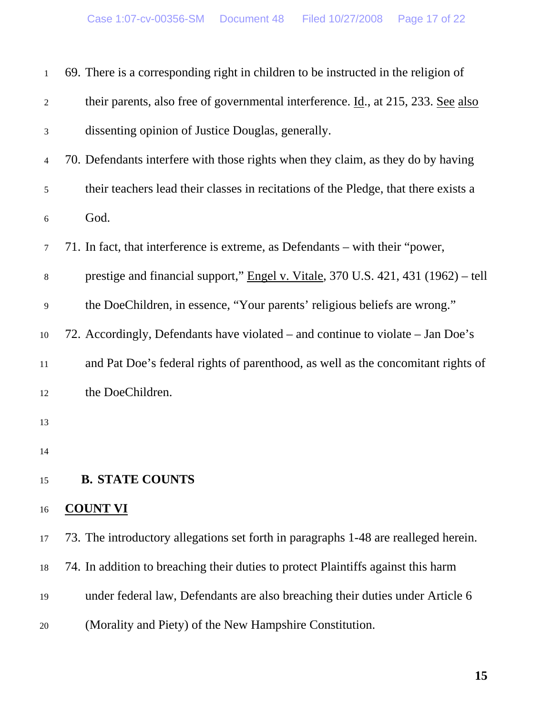| $\mathbf{1}$   | 69. There is a corresponding right in children to be instructed in the religion of  |
|----------------|-------------------------------------------------------------------------------------|
| $\sqrt{2}$     | their parents, also free of governmental interference. Id., at 215, 233. See also   |
| $\mathfrak{Z}$ | dissenting opinion of Justice Douglas, generally.                                   |
| $\overline{4}$ | 70. Defendants interfere with those rights when they claim, as they do by having    |
| $\mathfrak{S}$ | their teachers lead their classes in recitations of the Pledge, that there exists a |
| 6              | God.                                                                                |
| $\tau$         | 71. In fact, that interference is extreme, as Defendants – with their "power,       |
| $\,8\,$        | prestige and financial support," Engel v. Vitale, 370 U.S. 421, 431 (1962) – tell   |
| $\overline{9}$ | the DoeChildren, in essence, "Your parents' religious beliefs are wrong."           |
| $10\,$         | 72. Accordingly, Defendants have violated – and continue to violate – Jan Doe's     |
| $11\,$         | and Pat Doe's federal rights of parenthood, as well as the concomitant rights of    |
| 12             | the DoeChildren.                                                                    |
| 13             |                                                                                     |
| 14             |                                                                                     |
| 15             | <b>B. STATE COUNTS</b>                                                              |
| 16             | <b>COUNT VI</b>                                                                     |
| 17             | 73. The introductory allegations set forth in paragraphs 1-48 are realleged herein. |
| 18             | 74. In addition to breaching their duties to protect Plaintiffs against this harm   |
| 19             | under federal law, Defendants are also breaching their duties under Article 6       |
| $20\,$         | (Morality and Piety) of the New Hampshire Constitution.                             |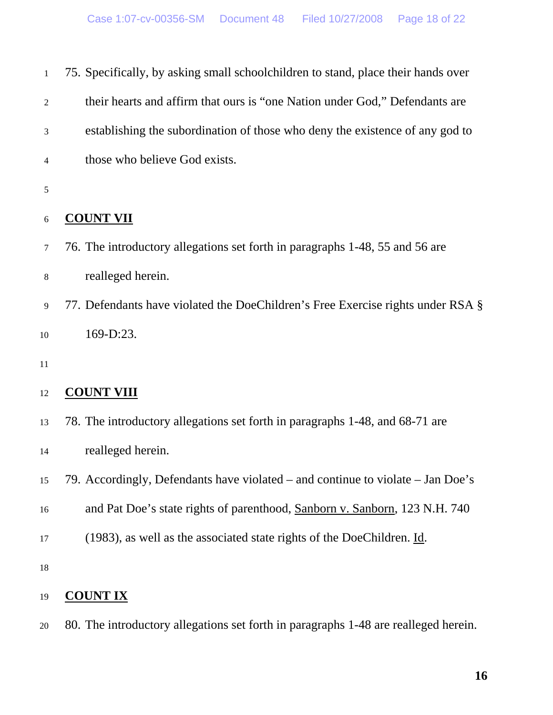| $\mathbf{1}$ | 75. Specifically, by asking small schoolchildren to stand, place their hands over     |
|--------------|---------------------------------------------------------------------------------------|
| 2            | their hearts and affirm that ours is "one Nation under God," Defendants are           |
| 3            | establishing the subordination of those who deny the existence of any god to          |
| 4            | those who believe God exists.                                                         |
| 5            |                                                                                       |
| 6            | <b>COUNT VII</b>                                                                      |
| $\tau$       | 76. The introductory allegations set forth in paragraphs 1-48, 55 and 56 are          |
| 8            | realleged herein.                                                                     |
| 9            | 77. Defendants have violated the DoeChildren's Free Exercise rights under RSA §       |
| 10           | 169-D:23.                                                                             |
| 11           |                                                                                       |
| 12           | <b>COUNT VIII</b>                                                                     |
| 13           | 78. The introductory allegations set forth in paragraphs 1-48, and 68-71 are          |
| 14           | realleged herein.                                                                     |
| 15           | 79. Accordingly, Defendants have violated – and continue to violate – Jan Doe's       |
| 16           | and Pat Doe's state rights of parenthood, Sanborn v. Sanborn, 123 N.H. 740            |
| 17           | (1983), as well as the associated state rights of the DoeChildren. $\underline{Id}$ . |
| 18           |                                                                                       |
| 19           | <b>COUNT IX</b>                                                                       |

20 80. The introductory allegations set forth in paragraphs 1-48 are realleged herein.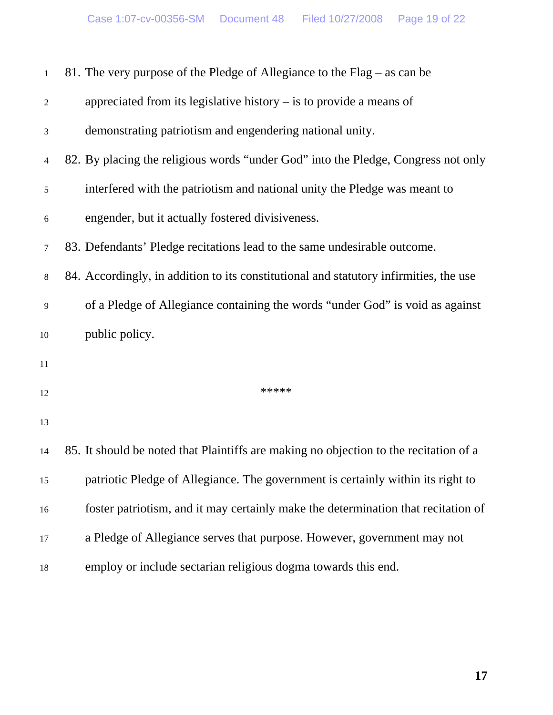| $\mathbf{1}$   | 81. The very purpose of the Pledge of Allegiance to the $Flag - as can be$            |
|----------------|---------------------------------------------------------------------------------------|
| $\sqrt{2}$     | appreciated from its legislative history $-$ is to provide a means of                 |
| 3              | demonstrating patriotism and engendering national unity.                              |
| $\overline{4}$ | 82. By placing the religious words "under God" into the Pledge, Congress not only     |
| $\sqrt{5}$     | interfered with the patriotism and national unity the Pledge was meant to             |
| 6              | engender, but it actually fostered divisiveness.                                      |
| $\tau$         | 83. Defendants' Pledge recitations lead to the same undesirable outcome.              |
| $8\,$          | 84. Accordingly, in addition to its constitutional and statutory infirmities, the use |
| 9              | of a Pledge of Allegiance containing the words "under God" is void as against         |
| $10\,$         | public policy.                                                                        |
| $11\,$         |                                                                                       |
| 12             | *****                                                                                 |
| 13             |                                                                                       |
| 14             | 85. It should be noted that Plaintiffs are making no objection to the recitation of a |
| 15             | patriotic Pledge of Allegiance. The government is certainly within its right to       |
| 16             | foster patriotism, and it may certainly make the determination that recitation of     |
| 17             | a Pledge of Allegiance serves that purpose. However, government may not               |
| 18             | employ or include sectarian religious dogma towards this end.                         |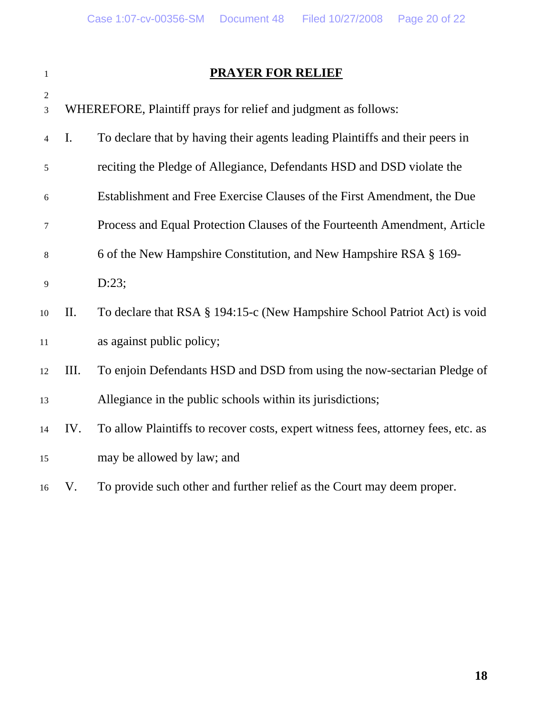|                     |                | PRAYER FOR RELIEF                                                            |
|---------------------|----------------|------------------------------------------------------------------------------|
| $\mathfrak{2}$<br>3 |                | WHEREFORE, Plaintiff prays for relief and judgment as follows:               |
| $\overline{4}$      | $\mathbf{I}$ . | To declare that by having their agents leading Plaintiffs and their peers in |
| 5                   |                | reciting the Pledge of Allegiance, Defendants HSD and DSD violate the        |
| 6                   |                | Establishment and Free Exercise Clauses of the First Amendment, the Due      |
| 7                   |                | Process and Equal Protection Clauses of the Fourteenth Amendment, Article    |
| 8                   |                | 6 of the New Hampshire Constitution, and New Hampshire RSA § 169-            |
| 9                   |                | D:23;                                                                        |
| 10                  | П.             | To declare that RSA § 194:15-c (New Hampshire School Patriot Act) is void    |
| 11                  |                | as against public policy;                                                    |

# 12 III. To enjoin Defendants HSD and DSD from using the now-sectarian Pledge of 13 Allegiance in the public schools within its jurisdictions;

- 14 IV. To allow Plaintiffs to recover costs, expert witness fees, attorney fees, etc. as 15 may be allowed by law; and
- 16 V. To provide such other and further relief as the Court may deem proper.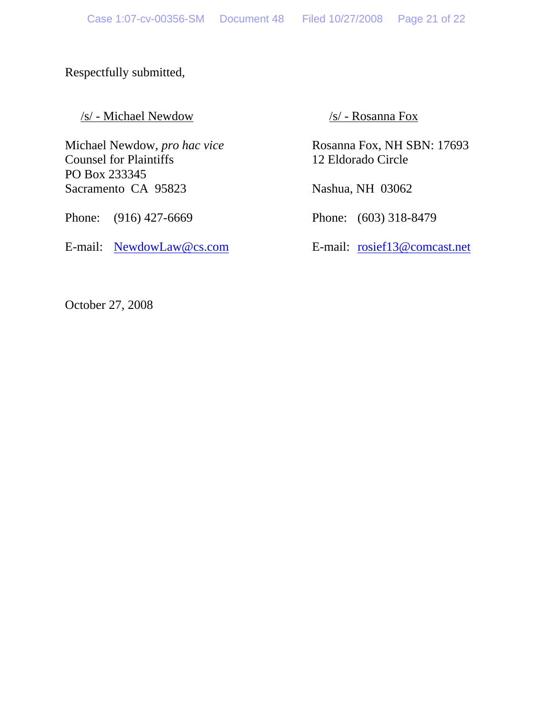#### Respectfully submitted,

/s/ - Michael Newdow /s/ - Rosanna Fox

Counsel for Plaintiffs 12 Eldorado Circle PO Box 233345 Sacramento CA 95823 Nashua, NH 03062

Phone: (916) 427-6669 Phone: (603) 318-8479

E-mail: NewdowLaw@cs.com E-mail: rosief13@comcast.net

Michael Newdow, *pro hac vice* Rosanna Fox, NH SBN: 17693

October 27, 2008